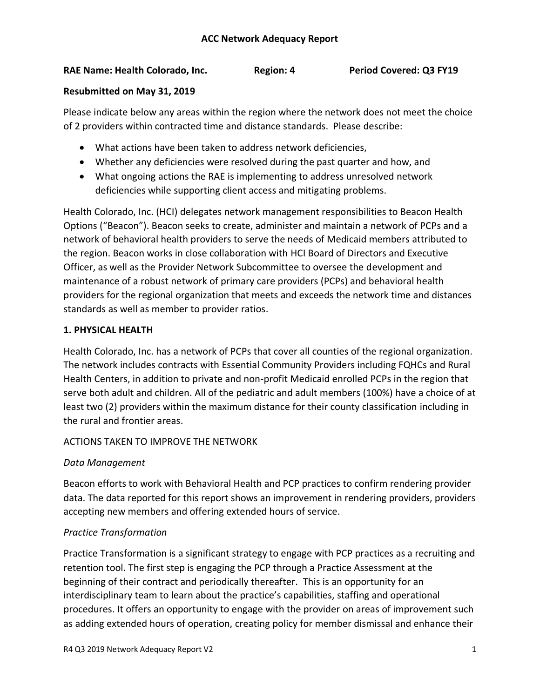## **RAE Name: Health Colorado, Inc. Region: 4 Period Covered: Q3 FY19**

#### **Resubmitted on May 31, 2019**

Please indicate below any areas within the region where the network does not meet the choice of 2 providers within contracted time and distance standards. Please describe:

- What actions have been taken to address network deficiencies,
- Whether any deficiencies were resolved during the past quarter and how, and
- What ongoing actions the RAE is implementing to address unresolved network deficiencies while supporting client access and mitigating problems.

Health Colorado, Inc. (HCI) delegates network management responsibilities to Beacon Health Options ("Beacon"). Beacon seeks to create, administer and maintain a network of PCPs and a network of behavioral health providers to serve the needs of Medicaid members attributed to the region. Beacon works in close collaboration with HCI Board of Directors and Executive Officer, as well as the Provider Network Subcommittee to oversee the development and maintenance of a robust network of primary care providers (PCPs) and behavioral health providers for the regional organization that meets and exceeds the network time and distances standards as well as member to provider ratios.

## **1. PHYSICAL HEALTH**

Health Colorado, Inc. has a network of PCPs that cover all counties of the regional organization. The network includes contracts with Essential Community Providers including FQHCs and Rural Health Centers, in addition to private and non-profit Medicaid enrolled PCPs in the region that serve both adult and children. All of the pediatric and adult members (100%) have a choice of at least two (2) providers within the maximum distance for their county classification including in the rural and frontier areas.

## ACTIONS TAKEN TO IMPROVE THE NETWORK

## *Data Management*

Beacon efforts to work with Behavioral Health and PCP practices to confirm rendering provider data. The data reported for this report shows an improvement in rendering providers, providers accepting new members and offering extended hours of service.

## *Practice Transformation*

Practice Transformation is a significant strategy to engage with PCP practices as a recruiting and retention tool. The first step is engaging the PCP through a Practice Assessment at the beginning of their contract and periodically thereafter. This is an opportunity for an interdisciplinary team to learn about the practice's capabilities, staffing and operational procedures. It offers an opportunity to engage with the provider on areas of improvement such as adding extended hours of operation, creating policy for member dismissal and enhance their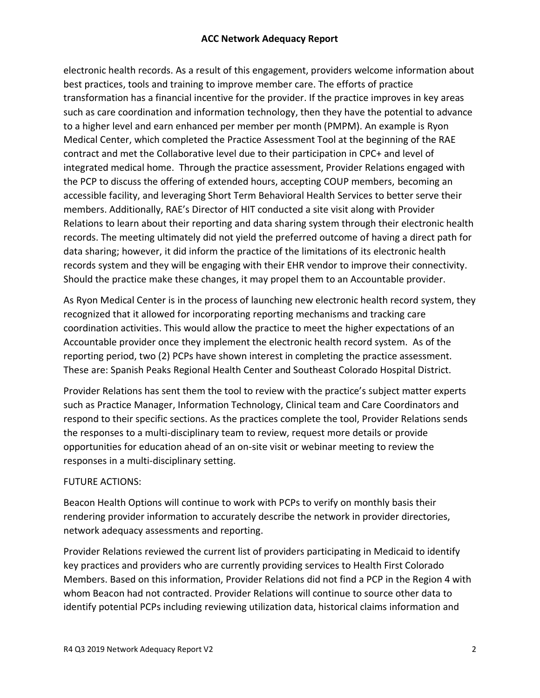electronic health records. As a result of this engagement, providers welcome information about best practices, tools and training to improve member care. The efforts of practice transformation has a financial incentive for the provider. If the practice improves in key areas such as care coordination and information technology, then they have the potential to advance to a higher level and earn enhanced per member per month (PMPM). An example is Ryon Medical Center, which completed the Practice Assessment Tool at the beginning of the RAE contract and met the Collaborative level due to their participation in CPC+ and level of integrated medical home. Through the practice assessment, Provider Relations engaged with the PCP to discuss the offering of extended hours, accepting COUP members, becoming an accessible facility, and leveraging Short Term Behavioral Health Services to better serve their members. Additionally, RAE's Director of HIT conducted a site visit along with Provider Relations to learn about their reporting and data sharing system through their electronic health records. The meeting ultimately did not yield the preferred outcome of having a direct path for data sharing; however, it did inform the practice of the limitations of its electronic health records system and they will be engaging with their EHR vendor to improve their connectivity. Should the practice make these changes, it may propel them to an Accountable provider.

As Ryon Medical Center is in the process of launching new electronic health record system, they recognized that it allowed for incorporating reporting mechanisms and tracking care coordination activities. This would allow the practice to meet the higher expectations of an Accountable provider once they implement the electronic health record system. As of the reporting period, two (2) PCPs have shown interest in completing the practice assessment. These are: Spanish Peaks Regional Health Center and Southeast Colorado Hospital District.

Provider Relations has sent them the tool to review with the practice's subject matter experts such as Practice Manager, Information Technology, Clinical team and Care Coordinators and respond to their specific sections. As the practices complete the tool, Provider Relations sends the responses to a multi-disciplinary team to review, request more details or provide opportunities for education ahead of an on-site visit or webinar meeting to review the responses in a multi-disciplinary setting.

# FUTURE ACTIONS:

Beacon Health Options will continue to work with PCPs to verify on monthly basis their rendering provider information to accurately describe the network in provider directories, network adequacy assessments and reporting.

Provider Relations reviewed the current list of providers participating in Medicaid to identify key practices and providers who are currently providing services to Health First Colorado Members. Based on this information, Provider Relations did not find a PCP in the Region 4 with whom Beacon had not contracted. Provider Relations will continue to source other data to identify potential PCPs including reviewing utilization data, historical claims information and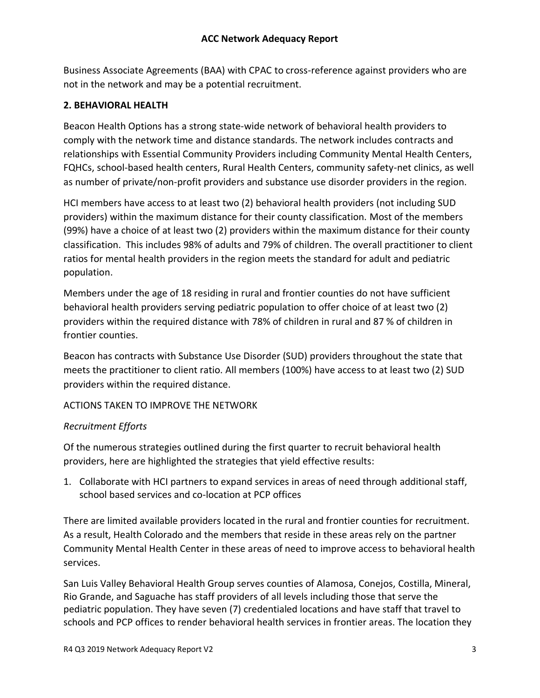Business Associate Agreements (BAA) with CPAC to cross-reference against providers who are not in the network and may be a potential recruitment.

#### **2. BEHAVIORAL HEALTH**

Beacon Health Options has a strong state-wide network of behavioral health providers to comply with the network time and distance standards. The network includes contracts and relationships with Essential Community Providers including Community Mental Health Centers, FQHCs, school-based health centers, Rural Health Centers, community safety-net clinics, as well as number of private/non-profit providers and substance use disorder providers in the region.

HCI members have access to at least two (2) behavioral health providers (not including SUD providers) within the maximum distance for their county classification. Most of the members (99%) have a choice of at least two (2) providers within the maximum distance for their county classification. This includes 98% of adults and 79% of children. The overall practitioner to client ratios for mental health providers in the region meets the standard for adult and pediatric population.

Members under the age of 18 residing in rural and frontier counties do not have sufficient behavioral health providers serving pediatric population to offer choice of at least two (2) providers within the required distance with 78% of children in rural and 87 % of children in frontier counties.

Beacon has contracts with Substance Use Disorder (SUD) providers throughout the state that meets the practitioner to client ratio. All members (100%) have access to at least two (2) SUD providers within the required distance.

ACTIONS TAKEN TO IMPROVE THE NETWORK

## *Recruitment Efforts*

Of the numerous strategies outlined during the first quarter to recruit behavioral health providers, here are highlighted the strategies that yield effective results:

1. Collaborate with HCI partners to expand services in areas of need through additional staff, school based services and co-location at PCP offices

There are limited available providers located in the rural and frontier counties for recruitment. As a result, Health Colorado and the members that reside in these areas rely on the partner Community Mental Health Center in these areas of need to improve access to behavioral health services.

San Luis Valley Behavioral Health Group serves counties of Alamosa, Conejos, Costilla, Mineral, Rio Grande, and Saguache has staff providers of all levels including those that serve the pediatric population. They have seven (7) credentialed locations and have staff that travel to schools and PCP offices to render behavioral health services in frontier areas. The location they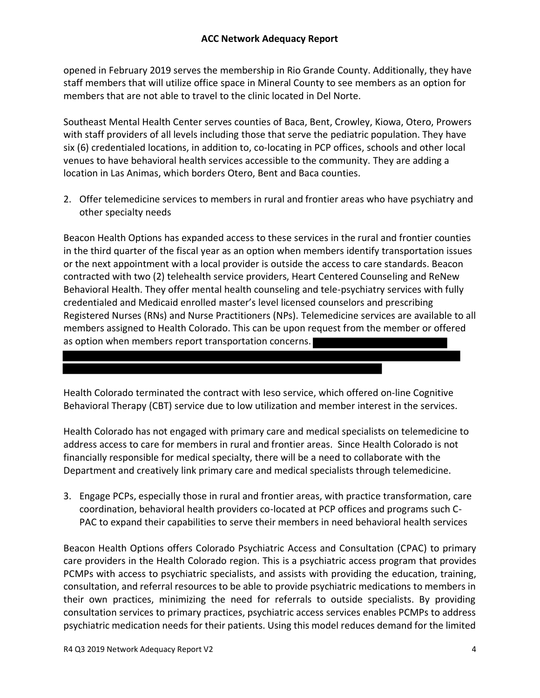opened in February 2019 serves the membership in Rio Grande County. Additionally, they have staff members that will utilize office space in Mineral County to see members as an option for members that are not able to travel to the clinic located in Del Norte.

Southeast Mental Health Center serves counties of Baca, Bent, Crowley, Kiowa, Otero, Prowers with staff providers of all levels including those that serve the pediatric population. They have six (6) credentialed locations, in addition to, co-locating in PCP offices, schools and other local venues to have behavioral health services accessible to the community. They are adding a location in Las Animas, which borders Otero, Bent and Baca counties.

2. Offer telemedicine services to members in rural and frontier areas who have psychiatry and other specialty needs

Beacon Health Options has expanded access to these services in the rural and frontier counties in the third quarter of the fiscal year as an option when members identify transportation issues or the next appointment with a local provider is outside the access to care standards. Beacon contracted with two (2) telehealth service providers, Heart Centered Counseling and ReNew Behavioral Health. They offer mental health counseling and tele-psychiatry services with fully credentialed and Medicaid enrolled master's level licensed counselors and prescribing Registered Nurses (RNs) and Nurse Practitioners (NPs). Telemedicine services are available to all members assigned to Health Colorado. This can be upon request from the member or offered as option when members report transportation concerns.

Health Colorado terminated the contract with Ieso service, which offered on-line Cognitive Behavioral Therapy (CBT) service due to low utilization and member interest in the services.

Health Colorado has not engaged with primary care and medical specialists on telemedicine to address access to care for members in rural and frontier areas. Since Health Colorado is not financially responsible for medical specialty, there will be a need to collaborate with the Department and creatively link primary care and medical specialists through telemedicine.

3. Engage PCPs, especially those in rural and frontier areas, with practice transformation, care coordination, behavioral health providers co-located at PCP offices and programs such C-PAC to expand their capabilities to serve their members in need behavioral health services

Beacon Health Options offers Colorado Psychiatric Access and Consultation (CPAC) to primary care providers in the Health Colorado region. This is a psychiatric access program that provides PCMPs with access to psychiatric specialists, and assists with providing the education, training, consultation, and referral resources to be able to provide psychiatric medications to members in their own practices, minimizing the need for referrals to outside specialists. By providing consultation services to primary practices, psychiatric access services enables PCMPs to address psychiatric medication needs for their patients. Using this model reduces demand for the limited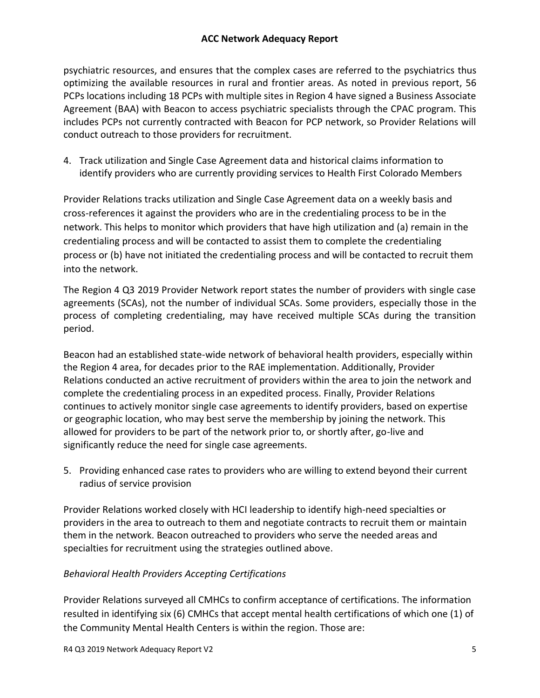psychiatric resources, and ensures that the complex cases are referred to the psychiatrics thus optimizing the available resources in rural and frontier areas. As noted in previous report, 56 PCPs locations including 18 PCPs with multiple sites in Region 4 have signed a Business Associate Agreement (BAA) with Beacon to access psychiatric specialists through the CPAC program. This includes PCPs not currently contracted with Beacon for PCP network, so Provider Relations will conduct outreach to those providers for recruitment.

4. Track utilization and Single Case Agreement data and historical claims information to identify providers who are currently providing services to Health First Colorado Members

Provider Relations tracks utilization and Single Case Agreement data on a weekly basis and cross-references it against the providers who are in the credentialing process to be in the network. This helps to monitor which providers that have high utilization and (a) remain in the credentialing process and will be contacted to assist them to complete the credentialing process or (b) have not initiated the credentialing process and will be contacted to recruit them into the network.

The Region 4 Q3 2019 Provider Network report states the number of providers with single case agreements (SCAs), not the number of individual SCAs. Some providers, especially those in the process of completing credentialing, may have received multiple SCAs during the transition period.

Beacon had an established state-wide network of behavioral health providers, especially within the Region 4 area, for decades prior to the RAE implementation. Additionally, Provider Relations conducted an active recruitment of providers within the area to join the network and complete the credentialing process in an expedited process. Finally, Provider Relations continues to actively monitor single case agreements to identify providers, based on expertise or geographic location, who may best serve the membership by joining the network. This allowed for providers to be part of the network prior to, or shortly after, go-live and significantly reduce the need for single case agreements.

5. Providing enhanced case rates to providers who are willing to extend beyond their current radius of service provision

Provider Relations worked closely with HCI leadership to identify high-need specialties or providers in the area to outreach to them and negotiate contracts to recruit them or maintain them in the network. Beacon outreached to providers who serve the needed areas and specialties for recruitment using the strategies outlined above.

# *Behavioral Health Providers Accepting Certifications*

Provider Relations surveyed all CMHCs to confirm acceptance of certifications. The information resulted in identifying six (6) CMHCs that accept mental health certifications of which one (1) of the Community Mental Health Centers is within the region. Those are: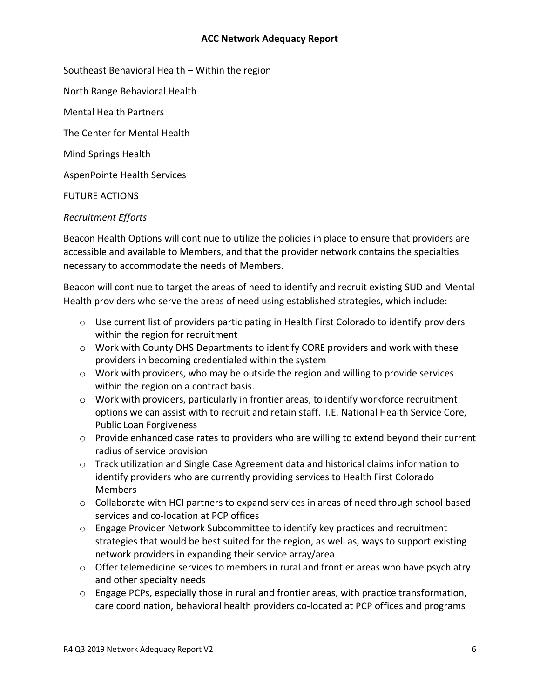Southeast Behavioral Health – Within the region

North Range Behavioral Health

Mental Health Partners

The Center for Mental Health

Mind Springs Health

AspenPointe Health Services

FUTURE ACTIONS

#### *Recruitment Efforts*

Beacon Health Options will continue to utilize the policies in place to ensure that providers are accessible and available to Members, and that the provider network contains the specialties necessary to accommodate the needs of Members.

Beacon will continue to target the areas of need to identify and recruit existing SUD and Mental Health providers who serve the areas of need using established strategies, which include:

- $\circ$  Use current list of providers participating in Health First Colorado to identify providers within the region for recruitment
- $\circ$  Work with County DHS Departments to identify CORE providers and work with these providers in becoming credentialed within the system
- $\circ$  Work with providers, who may be outside the region and willing to provide services within the region on a contract basis.
- $\circ$  Work with providers, particularly in frontier areas, to identify workforce recruitment options we can assist with to recruit and retain staff. I.E. National Health Service Core, Public Loan Forgiveness
- o Provide enhanced case rates to providers who are willing to extend beyond their current radius of service provision
- o Track utilization and Single Case Agreement data and historical claims information to identify providers who are currently providing services to Health First Colorado Members
- o Collaborate with HCI partners to expand services in areas of need through school based services and co-location at PCP offices
- $\circ$  Engage Provider Network Subcommittee to identify key practices and recruitment strategies that would be best suited for the region, as well as, ways to support existing network providers in expanding their service array/area
- o Offer telemedicine services to members in rural and frontier areas who have psychiatry and other specialty needs
- $\circ$  Engage PCPs, especially those in rural and frontier areas, with practice transformation, care coordination, behavioral health providers co-located at PCP offices and programs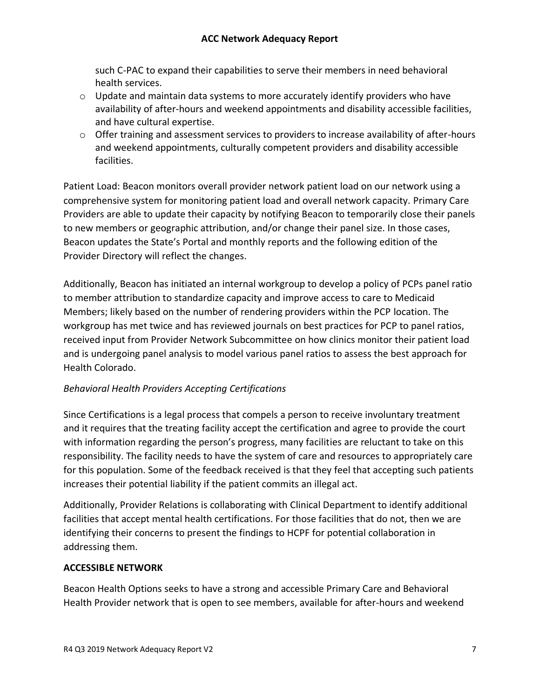such C-PAC to expand their capabilities to serve their members in need behavioral health services.

- $\circ$  Update and maintain data systems to more accurately identify providers who have availability of after-hours and weekend appointments and disability accessible facilities, and have cultural expertise.
- $\circ$  Offer training and assessment services to providers to increase availability of after-hours and weekend appointments, culturally competent providers and disability accessible facilities.

Patient Load: Beacon monitors overall provider network patient load on our network using a comprehensive system for monitoring patient load and overall network capacity. Primary Care Providers are able to update their capacity by notifying Beacon to temporarily close their panels to new members or geographic attribution, and/or change their panel size. In those cases, Beacon updates the State's Portal and monthly reports and the following edition of the Provider Directory will reflect the changes.

Additionally, Beacon has initiated an internal workgroup to develop a policy of PCPs panel ratio to member attribution to standardize capacity and improve access to care to Medicaid Members; likely based on the number of rendering providers within the PCP location. The workgroup has met twice and has reviewed journals on best practices for PCP to panel ratios, received input from Provider Network Subcommittee on how clinics monitor their patient load and is undergoing panel analysis to model various panel ratios to assess the best approach for Health Colorado.

# *Behavioral Health Providers Accepting Certifications*

Since Certifications is a legal process that compels a person to receive involuntary treatment and it requires that the treating facility accept the certification and agree to provide the court with information regarding the person's progress, many facilities are reluctant to take on this responsibility. The facility needs to have the system of care and resources to appropriately care for this population. Some of the feedback received is that they feel that accepting such patients increases their potential liability if the patient commits an illegal act.

Additionally, Provider Relations is collaborating with Clinical Department to identify additional facilities that accept mental health certifications. For those facilities that do not, then we are identifying their concerns to present the findings to HCPF for potential collaboration in addressing them.

## **ACCESSIBLE NETWORK**

Beacon Health Options seeks to have a strong and accessible Primary Care and Behavioral Health Provider network that is open to see members, available for after-hours and weekend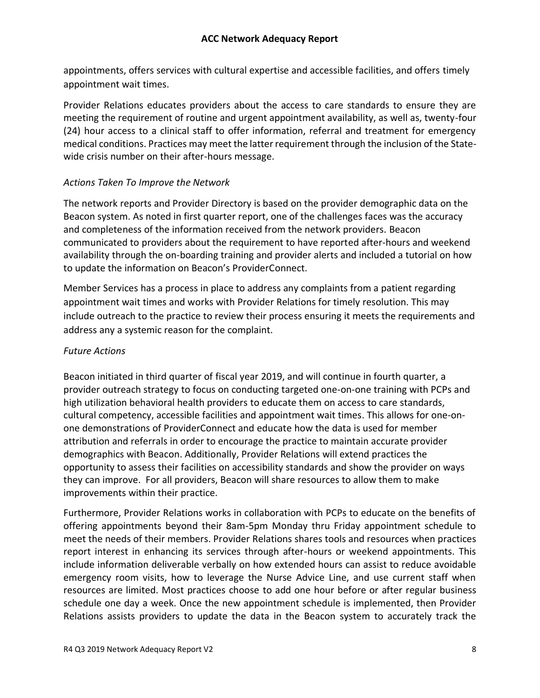appointments, offers services with cultural expertise and accessible facilities, and offers timely appointment wait times.

Provider Relations educates providers about the access to care standards to ensure they are meeting the requirement of routine and urgent appointment availability, as well as, twenty-four (24) hour access to a clinical staff to offer information, referral and treatment for emergency medical conditions. Practices may meet the latter requirement through the inclusion of the Statewide crisis number on their after-hours message.

## *Actions Taken To Improve the Network*

The network reports and Provider Directory is based on the provider demographic data on the Beacon system. As noted in first quarter report, one of the challenges faces was the accuracy and completeness of the information received from the network providers. Beacon communicated to providers about the requirement to have reported after-hours and weekend availability through the on-boarding training and provider alerts and included a tutorial on how to update the information on Beacon's ProviderConnect.

Member Services has a process in place to address any complaints from a patient regarding appointment wait times and works with Provider Relations for timely resolution. This may include outreach to the practice to review their process ensuring it meets the requirements and address any a systemic reason for the complaint.

## *Future Actions*

Beacon initiated in third quarter of fiscal year 2019, and will continue in fourth quarter, a provider outreach strategy to focus on conducting targeted one-on-one training with PCPs and high utilization behavioral health providers to educate them on access to care standards, cultural competency, accessible facilities and appointment wait times. This allows for one-onone demonstrations of ProviderConnect and educate how the data is used for member attribution and referrals in order to encourage the practice to maintain accurate provider demographics with Beacon. Additionally, Provider Relations will extend practices the opportunity to assess their facilities on accessibility standards and show the provider on ways they can improve. For all providers, Beacon will share resources to allow them to make improvements within their practice.

Furthermore, Provider Relations works in collaboration with PCPs to educate on the benefits of offering appointments beyond their 8am-5pm Monday thru Friday appointment schedule to meet the needs of their members. Provider Relations shares tools and resources when practices report interest in enhancing its services through after-hours or weekend appointments. This include information deliverable verbally on how extended hours can assist to reduce avoidable emergency room visits, how to leverage the Nurse Advice Line, and use current staff when resources are limited. Most practices choose to add one hour before or after regular business schedule one day a week. Once the new appointment schedule is implemented, then Provider Relations assists providers to update the data in the Beacon system to accurately track the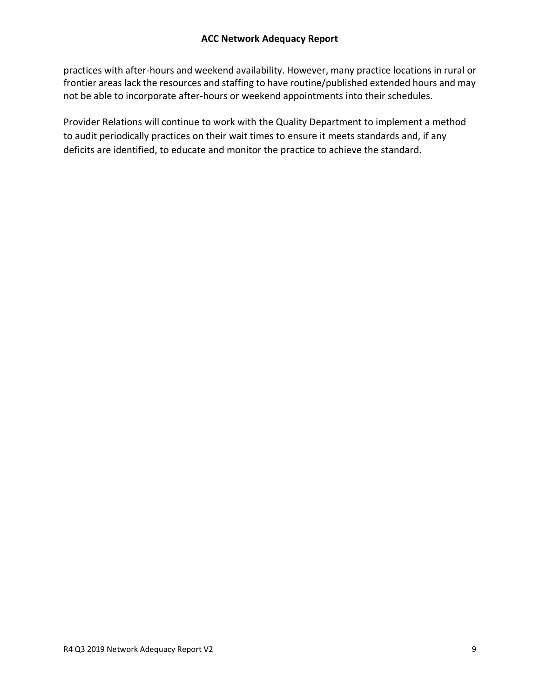practices with after-hours and weekend availability. However, many practice locations in rural or frontier areas lack the resources and staffing to have routine/published extended hours and may not be able to incorporate after-hours or weekend appointments into their schedules.

Provider Relations will continue to work with the Quality Department to implement a method to audit periodically practices on their wait times to ensure it meets standards and, if any deficits are identified, to educate and monitor the practice to achieve the standard.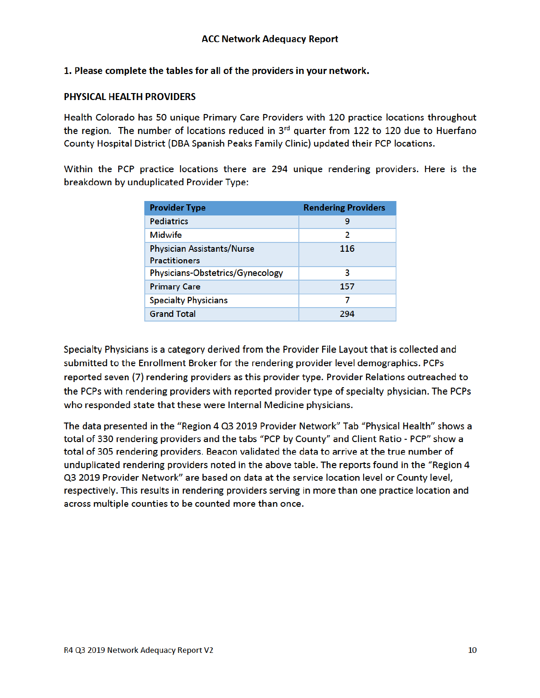#### 1. Please complete the tables for all of the providers in your network.

#### PHYSICAL HEALTH PROVIDERS

Health Colorado has 50 unique Primary Care Providers with 120 practice locations throughout the region. The number of locations reduced in 3<sup>rd</sup> quarter from 122 to 120 due to Huerfano County Hospital District (DBA Spanish Peaks Family Clinic) updated their PCP locations.

Within the PCP practice locations there are 294 unique rendering providers. Here is the breakdown by unduplicated Provider Type:

| <b>Provider Type</b>              | <b>Rendering Providers</b> |
|-----------------------------------|----------------------------|
| <b>Pediatrics</b>                 | 9                          |
| <b>Midwife</b>                    | 2                          |
| <b>Physician Assistants/Nurse</b> | 116                        |
| <b>Practitioners</b>              |                            |
| Physicians-Obstetrics/Gynecology  | 3                          |
| <b>Primary Care</b>               | 157                        |
| <b>Specialty Physicians</b>       | 7                          |
| <b>Grand Total</b>                | 294                        |

Specialty Physicians is a category derived from the Provider File Layout that is collected and submitted to the Enrollment Broker for the rendering provider level demographics. PCPs reported seven (7) rendering providers as this provider type. Provider Relations outreached to the PCPs with rendering providers with reported provider type of specialty physician. The PCPs who responded state that these were Internal Medicine physicians.

The data presented in the "Region 4 Q3 2019 Provider Network" Tab "Physical Health" shows a total of 330 rendering providers and the tabs "PCP by County" and Client Ratio - PCP" show a total of 305 rendering providers. Beacon validated the data to arrive at the true number of unduplicated rendering providers noted in the above table. The reports found in the "Region 4 Q3 2019 Provider Network" are based on data at the service location level or County level, respectively. This results in rendering providers serving in more than one practice location and across multiple counties to be counted more than once.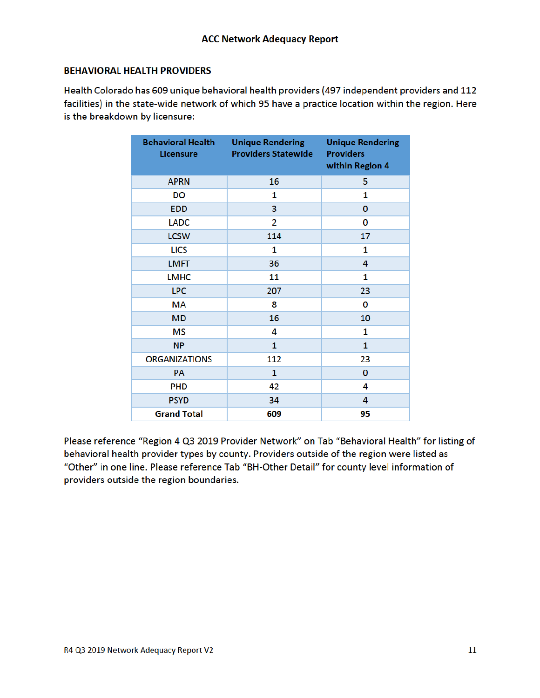#### **BEHAVIORAL HEALTH PROVIDERS**

Health Colorado has 609 unique behavioral health providers (497 independent providers and 112 facilities) in the state-wide network of which 95 have a practice location within the region. Here is the breakdown by licensure:

| <b>Behavioral Health</b><br><b>Licensure</b> | <b>Unique Rendering</b><br><b>Providers Statewide</b> | <b>Unique Rendering</b><br><b>Providers</b><br>within Region 4 |
|----------------------------------------------|-------------------------------------------------------|----------------------------------------------------------------|
| <b>APRN</b>                                  | 16                                                    | 5                                                              |
| DO                                           | 1                                                     | 1                                                              |
| <b>EDD</b>                                   | 3                                                     | $\mathbf 0$                                                    |
| <b>LADC</b>                                  | $\overline{2}$                                        | 0                                                              |
| <b>LCSW</b>                                  | 114                                                   | 17                                                             |
| <b>LICS</b>                                  | 1                                                     | 1                                                              |
| <b>LMFT</b>                                  | 36                                                    | 4                                                              |
| <b>LMHC</b>                                  | 11                                                    | 1                                                              |
| <b>LPC</b>                                   | 207                                                   | 23                                                             |
| <b>MA</b>                                    | 8                                                     | 0                                                              |
| <b>MD</b>                                    | 16                                                    | 10                                                             |
| <b>MS</b>                                    | 4                                                     | 1                                                              |
| <b>NP</b>                                    | $\mathbf{1}$                                          | $\mathbf{1}$                                                   |
| <b>ORGANIZATIONS</b>                         | 112                                                   | 23                                                             |
| <b>PA</b>                                    | $\mathbf{1}$                                          | $\mathbf{0}$                                                   |
| <b>PHD</b>                                   | 42                                                    | 4                                                              |
| <b>PSYD</b>                                  | 34                                                    | 4                                                              |
| <b>Grand Total</b>                           | 609                                                   | 95                                                             |

Please reference "Region 4 Q3 2019 Provider Network" on Tab "Behavioral Health" for listing of behavioral health provider types by county. Providers outside of the region were listed as "Other" in one line. Please reference Tab "BH-Other Detail" for county level information of providers outside the region boundaries.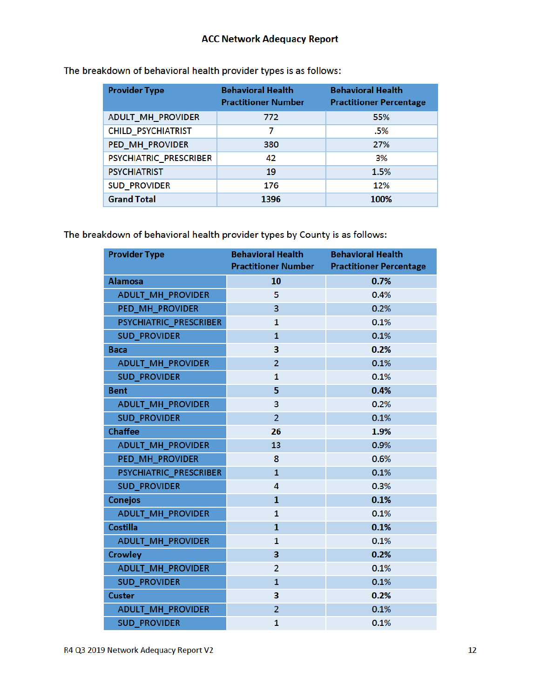| <b>Provider Type</b>      | <b>Behavioral Health</b><br><b>Practitioner Number</b> | <b>Behavioral Health</b><br><b>Practitioner Percentage</b> |
|---------------------------|--------------------------------------------------------|------------------------------------------------------------|
| ADULT_MH_PROVIDER         | 772                                                    | 55%                                                        |
| <b>CHILD_PSYCHIATRIST</b> | 7                                                      | .5%                                                        |
| PED MH PROVIDER           | 380                                                    | 27%                                                        |
| PSYCHIATRIC PRESCRIBER    | 42                                                     | 3%                                                         |
| <b>PSYCHIATRIST</b>       | 19                                                     | 1.5%                                                       |
| <b>SUD PROVIDER</b>       | 176                                                    | 12%                                                        |
| <b>Grand Total</b>        | 1396                                                   | 100%                                                       |

The breakdown of behavioral health provider types is as follows:

The breakdown of behavioral health provider types by County is as follows:

| <b>Provider Type</b>     | <b>Behavioral Health</b><br><b>Practitioner Number</b> | <b>Behavioral Health</b><br><b>Practitioner Percentage</b> |
|--------------------------|--------------------------------------------------------|------------------------------------------------------------|
| <b>Alamosa</b>           | 10                                                     | 0.7%                                                       |
| <b>ADULT_MH_PROVIDER</b> | 5                                                      | 0.4%                                                       |
| PED MH PROVIDER          | 3                                                      | 0.2%                                                       |
| PSYCHIATRIC PRESCRIBER   | $\mathbf{1}$                                           | 0.1%                                                       |
| <b>SUD_PROVIDER</b>      | $\mathbf{1}$                                           | 0.1%                                                       |
| <b>Baca</b>              | 3                                                      | 0.2%                                                       |
| ADULT_MH_PROVIDER        | $\overline{2}$                                         | 0.1%                                                       |
| <b>SUD PROVIDER</b>      | $\mathbf{1}$                                           | 0.1%                                                       |
| <b>Bent</b>              | 5                                                      | 0.4%                                                       |
| <b>ADULT_MH_PROVIDER</b> | 3                                                      | 0.2%                                                       |
| <b>SUD_PROVIDER</b>      | $\overline{2}$                                         | 0.1%                                                       |
| <b>Chaffee</b>           | 26                                                     | 1.9%                                                       |
| <b>ADULT_MH_PROVIDER</b> | 13                                                     | 0.9%                                                       |
| PED MH PROVIDER          | 8                                                      | 0.6%                                                       |
| PSYCHIATRIC PRESCRIBER   | $\mathbf{1}$                                           | 0.1%                                                       |
| <b>SUD PROVIDER</b>      | 4                                                      | 0.3%                                                       |
| <b>Conejos</b>           | $\mathbf{1}$                                           | 0.1%                                                       |
| <b>ADULT MH PROVIDER</b> | $\mathbf{1}$                                           | 0.1%                                                       |
| <b>Costilla</b>          | $\mathbf{1}$                                           | 0.1%                                                       |
| <b>ADULT_MH_PROVIDER</b> | 1                                                      | 0.1%                                                       |
| <b>Crowley</b>           | 3                                                      | 0.2%                                                       |
| <b>ADULT_MH_PROVIDER</b> | $\overline{2}$                                         | 0.1%                                                       |
| <b>SUD_PROVIDER</b>      | $\mathbf{1}$                                           | 0.1%                                                       |
| <b>Custer</b>            | 3                                                      | 0.2%                                                       |
| ADULT_MH_PROVIDER        | $\overline{2}$                                         | 0.1%                                                       |
| <b>SUD PROVIDER</b>      | 1                                                      | 0.1%                                                       |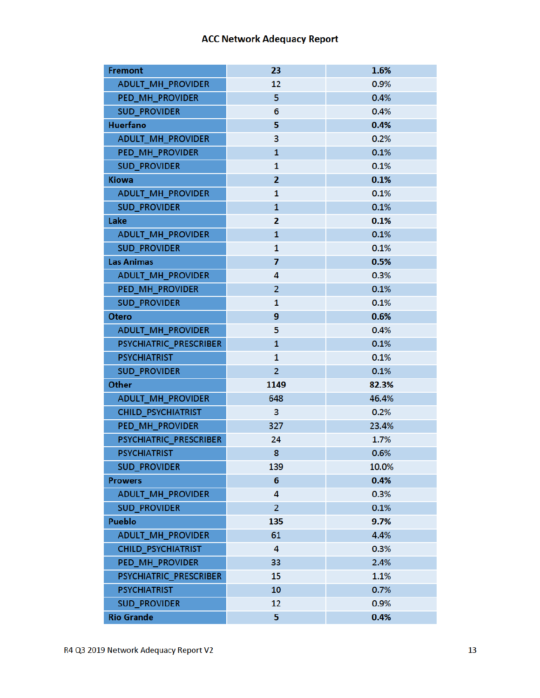| <b>Fremont</b>            | 23             | 1.6%  |
|---------------------------|----------------|-------|
| <b>ADULT_MH_PROVIDER</b>  | 12             | 0.9%  |
| PED_MH_PROVIDER           | 5              | 0.4%  |
| <b>SUD PROVIDER</b>       | 6              | 0.4%  |
| <b>Huerfano</b>           | 5              | 0.4%  |
| ADULT_MH_PROVIDER         | 3              | 0.2%  |
| PED MH PROVIDER           | $\mathbf{1}$   | 0.1%  |
| <b>SUD_PROVIDER</b>       | $\mathbf{1}$   | 0.1%  |
| <b>Kiowa</b>              | $\overline{2}$ | 0.1%  |
| <b>ADULT MH PROVIDER</b>  | 1              | 0.1%  |
| <b>SUD_PROVIDER</b>       | $\mathbf{1}$   | 0.1%  |
| Lake                      | 2              | 0.1%  |
| ADULT_MH_PROVIDER         | $\mathbf{1}$   | 0.1%  |
| <b>SUD_PROVIDER</b>       | $\mathbf{1}$   | 0.1%  |
| <b>Las Animas</b>         | 7              | 0.5%  |
| ADULT_MH_PROVIDER         | 4              | 0.3%  |
| PED_MH_PROVIDER           | $\overline{2}$ | 0.1%  |
| <b>SUD PROVIDER</b>       | $\mathbf{1}$   | 0.1%  |
| <b>Otero</b>              | 9              | 0.6%  |
| ADULT_MH_PROVIDER         | 5              | 0.4%  |
| PSYCHIATRIC_PRESCRIBER    | $\mathbf{1}$   | 0.1%  |
| <b>PSYCHIATRIST</b>       | 1              | 0.1%  |
| <b>SUD_PROVIDER</b>       | $\overline{2}$ | 0.1%  |
| Other                     | 1149           | 82.3% |
| ADULT_MH_PROVIDER         | 648            | 46.4% |
| <b>CHILD_PSYCHIATRIST</b> | 3              | 0.2%  |
| PED MH PROVIDER           | 327            | 23.4% |
| PSYCHIATRIC_PRESCRIBER    | 24             | 1.7%  |
| <b>PSYCHIATRIST</b>       | 8              | 0.6%  |
| <b>SUD_PROVIDER</b>       | 139            | 10.0% |
| <b>Prowers</b>            | 6              | 0.4%  |
| ADULT_MH_PROVIDER         | 4              | 0.3%  |
| <b>SUD_PROVIDER</b>       | $\overline{2}$ | 0.1%  |
| <b>Pueblo</b>             | 135            | 9.7%  |
| <b>ADULT_MH_PROVIDER</b>  | 61             | 4.4%  |
| <b>CHILD_PSYCHIATRIST</b> | 4              | 0.3%  |
| PED_MH_PROVIDER           | 33             | 2.4%  |
| PSYCHIATRIC_PRESCRIBER    | 15             | 1.1%  |
| <b>PSYCHIATRIST</b>       | 10             | 0.7%  |
| <b>SUD_PROVIDER</b>       | 12             | 0.9%  |
| <b>Rio Grande</b>         | 5              | 0.4%  |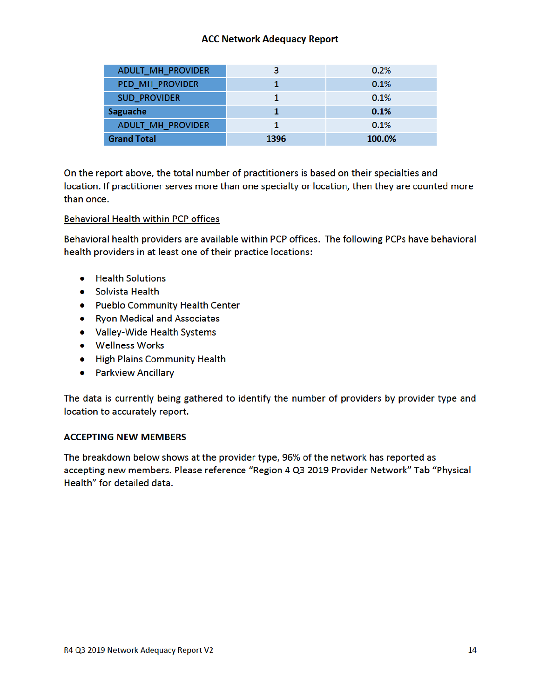| <b>ADULT_MH_PROVIDER</b> | 3    | 0.2%   |
|--------------------------|------|--------|
| PED_MH_PROVIDER          |      | 0.1%   |
| <b>SUD PROVIDER</b>      |      | 0.1%   |
| <b>Saguache</b>          |      | 0.1%   |
| <b>ADULT MH PROVIDER</b> |      | 0.1%   |
| <b>Grand Total</b>       | 1396 | 100.0% |

On the report above, the total number of practitioners is based on their specialties and location. If practitioner serves more than one specialty or location, then they are counted more than once.

#### **Behavioral Health within PCP offices**

Behavioral health providers are available within PCP offices. The following PCPs have behavioral health providers in at least one of their practice locations:

- Health Solutions
- Solvista Health
- Pueblo Community Health Center
- Ryon Medical and Associates
- Valley-Wide Health Systems
- Wellness Works
- High Plains Community Health
- Parkview Ancillary

The data is currently being gathered to identify the number of providers by provider type and location to accurately report.

#### **ACCEPTING NEW MEMBERS**

The breakdown below shows at the provider type, 96% of the network has reported as accepting new members. Please reference "Region 4 Q3 2019 Provider Network" Tab "Physical Health" for detailed data.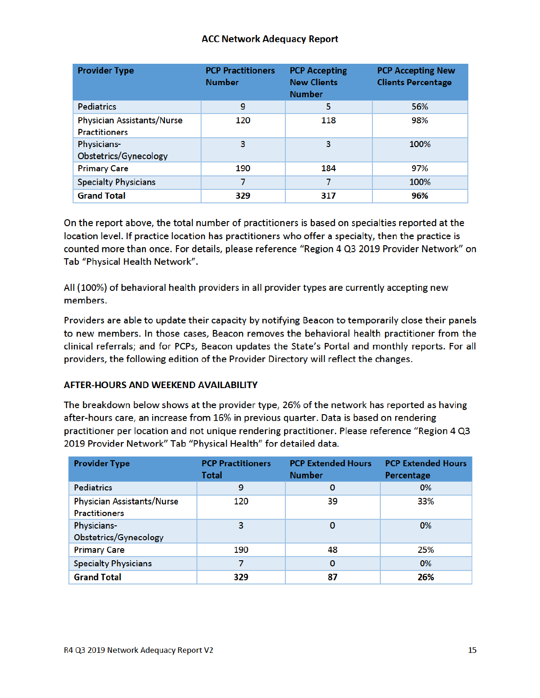| <b>Provider Type</b>                                      | <b>PCP Practitioners</b><br><b>Number</b> | <b>PCP Accepting</b><br><b>New Clients</b><br><b>Number</b> | <b>PCP Accepting New</b><br><b>Clients Percentage</b> |
|-----------------------------------------------------------|-------------------------------------------|-------------------------------------------------------------|-------------------------------------------------------|
| <b>Pediatrics</b>                                         | 9                                         | 5                                                           | 56%                                                   |
| <b>Physician Assistants/Nurse</b><br><b>Practitioners</b> | 120                                       | 118                                                         | 98%                                                   |
| <b>Physicians-</b><br>Obstetrics/Gynecology               | 3                                         | 3                                                           | 100%                                                  |
| <b>Primary Care</b>                                       | 190                                       | 184                                                         | 97%                                                   |
| <b>Specialty Physicians</b>                               | 7                                         | 7                                                           | 100%                                                  |
| <b>Grand Total</b>                                        | 329                                       | 317                                                         | 96%                                                   |

On the report above, the total number of practitioners is based on specialties reported at the location level. If practice location has practitioners who offer a specialty, then the practice is counted more than once. For details, please reference "Region 4 Q3 2019 Provider Network" on Tab "Physical Health Network".

All (100%) of behavioral health providers in all provider types are currently accepting new members.

Providers are able to update their capacity by notifying Beacon to temporarily close their panels to new members. In those cases, Beacon removes the behavioral health practitioner from the clinical referrals; and for PCPs, Beacon updates the State's Portal and monthly reports. For all providers, the following edition of the Provider Directory will reflect the changes.

#### **AFTER-HOURS AND WEEKEND AVAILABILITY**

The breakdown below shows at the provider type, 26% of the network has reported as having after-hours care, an increase from 16% in previous quarter. Data is based on rendering practitioner per location and not unique rendering practitioner. Please reference "Region 4 Q3 2019 Provider Network" Tab "Physical Health" for detailed data.

| <b>Provider Type</b>                                      | <b>PCP Practitioners</b><br>Total | <b>PCP Extended Hours</b><br><b>Number</b> | <b>PCP Extended Hours</b><br><b>Percentage</b> |
|-----------------------------------------------------------|-----------------------------------|--------------------------------------------|------------------------------------------------|
| <b>Pediatrics</b>                                         | 9                                 | $\bf{0}$                                   | 0%                                             |
| <b>Physician Assistants/Nurse</b><br><b>Practitioners</b> | 120                               | 39                                         | 33%                                            |
| Physicians-<br>Obstetrics/Gynecology                      | 3                                 | 0                                          | 0%                                             |
| <b>Primary Care</b>                                       | 190                               | 48                                         | 25%                                            |
| <b>Specialty Physicians</b>                               | 7                                 | 0                                          | 0%                                             |
| <b>Grand Total</b>                                        | 329                               | 87                                         | 26%                                            |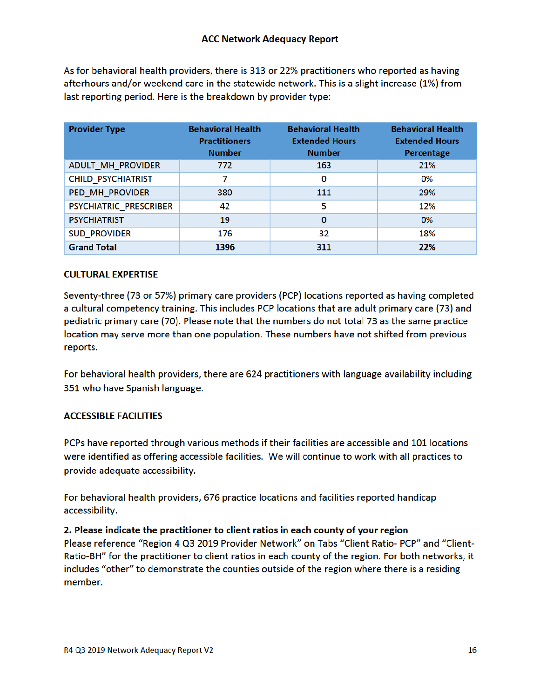As for behavioral health providers, there is 313 or 22% practitioners who reported as having afterhours and/or weekend care in the statewide network. This is a slight increase (1%) from last reporting period. Here is the breakdown by provider type:

| <b>Provider Type</b>      | <b>Behavioral Health</b><br><b>Practitioners</b><br><b>Number</b> | <b>Behavioral Health</b><br><b>Extended Hours</b><br><b>Number</b> | <b>Behavioral Health</b><br><b>Extended Hours</b><br>Percentage |
|---------------------------|-------------------------------------------------------------------|--------------------------------------------------------------------|-----------------------------------------------------------------|
| ADULT_MH_PROVIDER         | 772                                                               | 163                                                                | 21%                                                             |
| <b>CHILD PSYCHIATRIST</b> |                                                                   | 0                                                                  | 0%                                                              |
| PED_MH_PROVIDER           | 380                                                               | 111                                                                | 29%                                                             |
| PSYCHIATRIC_PRESCRIBER    | 42                                                                | 5                                                                  | 12%                                                             |
| <b>PSYCHIATRIST</b>       | 19                                                                | $\bf{0}$                                                           | 0%                                                              |
| <b>SUD_PROVIDER</b>       | 176                                                               | 32                                                                 | 18%                                                             |
| <b>Grand Total</b>        | 1396                                                              | 311                                                                | 22%                                                             |

#### **CULTURAL EXPERTISE**

Seventy-three (73 or 57%) primary care providers (PCP) locations reported as having completed a cultural competency training. This includes PCP locations that are adult primary care (73) and pediatric primary care (70). Please note that the numbers do not total 73 as the same practice location may serve more than one population. These numbers have not shifted from previous reports.

For behavioral health providers, there are 624 practitioners with language availability including 351 who have Spanish language.

## **ACCESSIBLE FACILITIES**

PCPs have reported through various methods if their facilities are accessible and 101 locations were identified as offering accessible facilities. We will continue to work with all practices to provide adequate accessibility.

For behavioral health providers, 676 practice locations and facilities reported handicap accessibility.

2. Please indicate the practitioner to client ratios in each county of your region Please reference "Region 4 Q3 2019 Provider Network" on Tabs "Client Ratio- PCP" and "Client-Ratio-BH" for the practitioner to client ratios in each county of the region. For both networks, it includes "other" to demonstrate the counties outside of the region where there is a residing member.